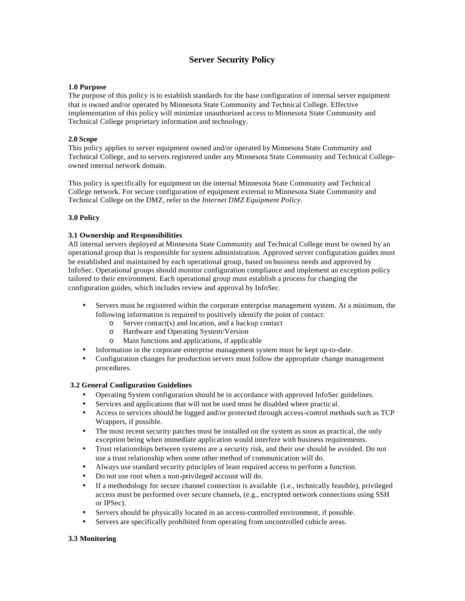# **Server Security Policy**

## **1.0 Purpose**

The purpose of this policy is to establish standards for the base configuration of internal server equipment that is owned and/or operated by Minnesota State Community and Technical College. Effective implementation of this policy will minimize unauthorized access to Minnesota State Community and Technical College proprietary information and technology.

# **2.0 Scope**

This policy applies to server equipment owned and/or operated by Minnesota State Community and Technical College, and to servers registered under any Minnesota State Community and Technical Collegeowned internal network domain.

This policy is specifically for equipment on the internal Minnesota State Community and Technical College network. For secure configuration of equipment external to Minnesota State Community and Technical College on the DMZ, refer to the *Internet DMZ Equipment Policy*.

## **3.0 Policy**

# **3.1 Ownership and Responsibilities**

All internal servers deployed at Minnesota State Community and Technical College must be owned by an operational group that is responsible for system administration. Approved server configuration guides must be established and maintained by each operational group, based on business needs and approved by InfoSec. Operational groups should monitor configuration compliance and implement an exception policy tailored to their environment. Each operational group must establish a process for changing the configuration guides, which includes review and approval by InfoSec.

- Servers must be registered within the corporate enterprise management system. At a minimum, the following information is required to positively identify the point of contact:
	- o Server contact(s) and location, and a backup contact
	- o Hardware and Operating System/Version
	- o Main functions and applications, if applicable
- Information in the corporate enterprise management system must be kept up-to-date.
- Configuration changes for production servers must follow the appropriate change management procedures.

#### **3.2 General Configuration Guidelines**

- Operating System configuration should be in accordance with approved InfoSec guidelines.
- Services and applications that will not be used must be disabled where practical.
- Access to services should be logged and/or protected through access-control methods such as TCP Wrappers, if possible.
- The most recent security patches must be installed on the system as soon as practical, the only exception being when immediate application would interfere with business requirements.
- Trust relationships between systems are a security risk, and their use should be avoided. Do not use a trust relationship when some other method of communication will do.
- Always use standard security principles of least required access to perform a function.
- Do not use root when a non-privileged account will do.
- If a methodology for secure channel connection is available (i.e., technically feasible), privileged access must be performed over secure channels, (e.g., encrypted network connections using SSH or IPSec).
- Servers should be physically located in an access-controlled environment, if possible.
- Servers are specifically prohibited from operating from uncontrolled cubicle areas.

#### **3.3 Monitoring**